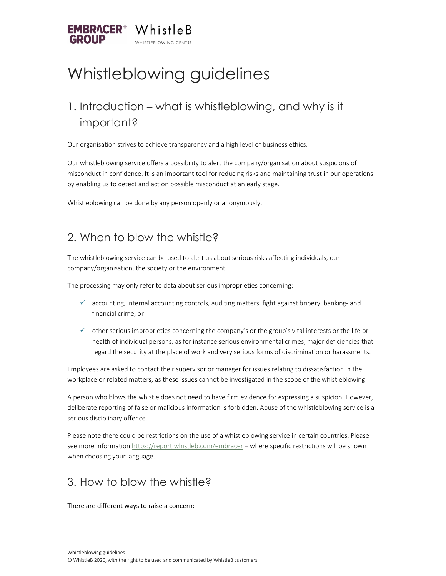

# Whistleblowing guidelines

### 1. Introduction – what is whistleblowing, and why is it important?

Our organisation strives to achieve transparency and a high level of business ethics.

Our whistleblowing service offers a possibility to alert the company/organisation about suspicions of misconduct in confidence. It is an important tool for reducing risks and maintaining trust in our operations by enabling us to detect and act on possible misconduct at an early stage.

Whistleblowing can be done by any person openly or anonymously.

### 2. When to blow the whistle?

The whistleblowing service can be used to alert us about serious risks affecting individuals, our company/organisation, the society or the environment.

The processing may only refer to data about serious improprieties concerning:

- $\checkmark$  accounting, internal accounting controls, auditing matters, fight against bribery, banking- and financial crime, or
- $\checkmark$  other serious improprieties concerning the company's or the group's vital interests or the life or health of individual persons, as for instance serious environmental crimes, major deficiencies that regard the security at the place of work and very serious forms of discrimination or harassments.

Employees are asked to contact their supervisor or manager for issues relating to dissatisfaction in the workplace or related matters, as these issues cannot be investigated in the scope of the whistleblowing.

A person who blows the whistle does not need to have firm evidence for expressing a suspicion. However, deliberate reporting of false or malicious information is forbidden. Abuse of the whistleblowing service is a serious disciplinary offence.

Please note there could be restrictions on the use of a whistleblowing service in certain countries. Please see more information https://report.whistleb.com/embracer – where specific restrictions will be shown when choosing your language.

### 3. How to blow the whistle?

There are different ways to raise a concern: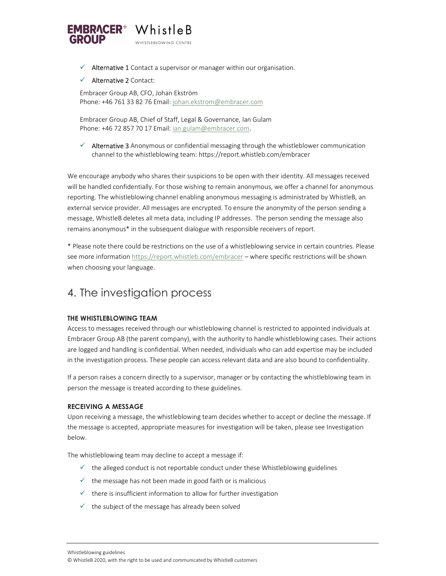

 $\checkmark$  Alternative 1 Contact a supervisor or manager within our organisation.

#### $\checkmark$  Alternative 2 Contact:

Embracer Group AB, CFO, Johan Ekström Phone: +46 761 33 82 76 Email: johan.ekstrom@embracer.com

Embracer Group AB, Chief of Staff, Legal & Governance, Ian Gulam Phone: +46 72 857 70 17 Email: ian.gulam@embracer.com.

 $\checkmark$  Alternative 3 Anonymous or confidential messaging through the whistleblower communication channel to the whistleblowing team: https://report.whistleb.com/embracer

We encourage anybody who shares their suspicions to be open with their identity. All messages received will be handled confidentially. For those wishing to remain anonymous, we offer a channel for anonymous reporting. The whistleblowing channel enabling anonymous messaging is administrated by WhistleB, an external service provider. All messages are encrypted. To ensure the anonymity of the person sending a message, WhistleB deletes all meta data, including IP addresses. The person sending the message also remains anonymous\* in the subsequent dialogue with responsible receivers of report.

\* Please note there could be restrictions on the use of a whistleblowing service in certain countries. Please see more information https://report.whistleb.com/embracer – where specific restrictions will be shown when choosing your language.

### 4. The investigation process

#### THE WHISTLEBLOWING TEAM

Access to messages received through our whistleblowing channel is restricted to appointed individuals at Embracer Group AB (the parent company), with the authority to handle whistleblowing cases. Their actions are logged and handling is confidential. When needed, individuals who can add expertise may be included in the investigation process. These people can access relevant data and are also bound to confidentiality.

If a person raises a concern directly to a supervisor, manager or by contacting the whistleblowing team in person the message is treated according to these guidelines.

#### RECEIVING A MESSAGE

Upon receiving a message, the whistleblowing team decides whether to accept or decline the message. If the message is accepted, appropriate measures for investigation will be taken, please see Investigation below.

The whistleblowing team may decline to accept a message if:

- $\checkmark$  the alleged conduct is not reportable conduct under these Whistleblowing guidelines
- $\checkmark$  the message has not been made in good faith or is malicious
- $\checkmark$  there is insufficient information to allow for further investigation
- $\checkmark$  the subject of the message has already been solved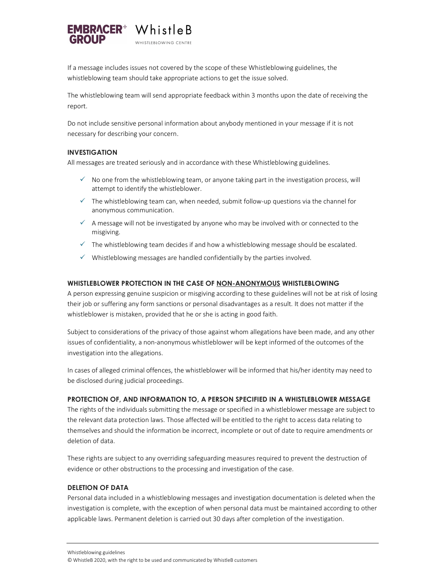

If a message includes issues not covered by the scope of these Whistleblowing guidelines, the whistleblowing team should take appropriate actions to get the issue solved.

The whistleblowing team will send appropriate feedback within 3 months upon the date of receiving the report.

Do not include sensitive personal information about anybody mentioned in your message if it is not necessary for describing your concern.

#### INVESTIGATION

All messages are treated seriously and in accordance with these Whistleblowing guidelines.

- $\checkmark$  No one from the whistleblowing team, or anyone taking part in the investigation process, will attempt to identify the whistleblower.
- $\checkmark$  The whistleblowing team can, when needed, submit follow-up questions via the channel for anonymous communication.
- $\checkmark$  A message will not be investigated by anyone who may be involved with or connected to the misgiving.
- $\checkmark$  The whistleblowing team decides if and how a whistleblowing message should be escalated.
- $\checkmark$  Whistleblowing messages are handled confidentially by the parties involved.

#### WHISTLEBLOWER PROTECTION IN THE CASE OF NON-ANONYMOUS WHISTLEBLOWING

A person expressing genuine suspicion or misgiving according to these guidelines will not be at risk of losing their job or suffering any form sanctions or personal disadvantages as a result. It does not matter if the whistleblower is mistaken, provided that he or she is acting in good faith.

Subject to considerations of the privacy of those against whom allegations have been made, and any other issues of confidentiality, a non-anonymous whistleblower will be kept informed of the outcomes of the investigation into the allegations.

In cases of alleged criminal offences, the whistleblower will be informed that his/her identity may need to be disclosed during judicial proceedings.

#### PROTECTION OF, AND INFORMATION TO, A PERSON SPECIFIED IN A WHISTLEBLOWER MESSAGE

The rights of the individuals submitting the message or specified in a whistleblower message are subject to the relevant data protection laws. Those affected will be entitled to the right to access data relating to themselves and should the information be incorrect, incomplete or out of date to require amendments or deletion of data.

These rights are subject to any overriding safeguarding measures required to prevent the destruction of evidence or other obstructions to the processing and investigation of the case.

#### DELETION OF DATA

Personal data included in a whistleblowing messages and investigation documentation is deleted when the investigation is complete, with the exception of when personal data must be maintained according to other applicable laws. Permanent deletion is carried out 30 days after completion of the investigation.